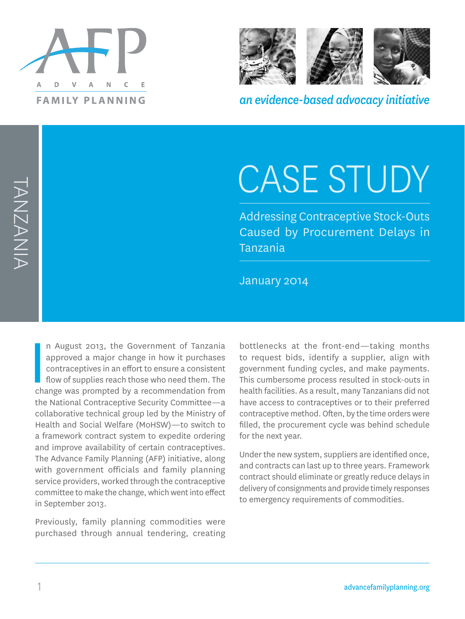



*an evidence-based advocacy initiative*

# CASE STUDY

Addressing Contraceptive Stock-Outs Caused by Procurement Delays in Tanzania

January 2014

**I**<br>I<br>Cha n August 2013, the Government of Tanzania approved a major change in how it purchases contraceptives in an effort to ensure a consistent flow of supplies reach those who need them. The change was prompted by a recommendation from the National Contraceptive Security Committee—a collaborative technical group led by the Ministry of Health and Social Welfare (MoHSW)—to switch to a framework contract system to expedite ordering and improve availability of certain contraceptives. The Advance Family Planning (AFP) initiative, along with government officials and family planning service providers, worked through the contraceptive committee to make the change, which went into effect in September 2013.

Previously, family planning commodities were purchased through annual tendering, creating

bottlenecks at the front-end—taking months to request bids, identify a supplier, align with government funding cycles, and make payments. This cumbersome process resulted in stock-outs in health facilities. As a result, many Tanzanians did not have access to contraceptives or to their preferred contraceptive method. Often, by the time orders were filled, the procurement cycle was behind schedule for the next year.

Under the new system, suppliers are identified once, and contracts can last up to three years. Framework contract should eliminate or greatly reduce delays in delivery of consignments and provide timely responses to emergency requirements of commodities.

1 advancefamilyplanning.org

TANZANIA TANZANIA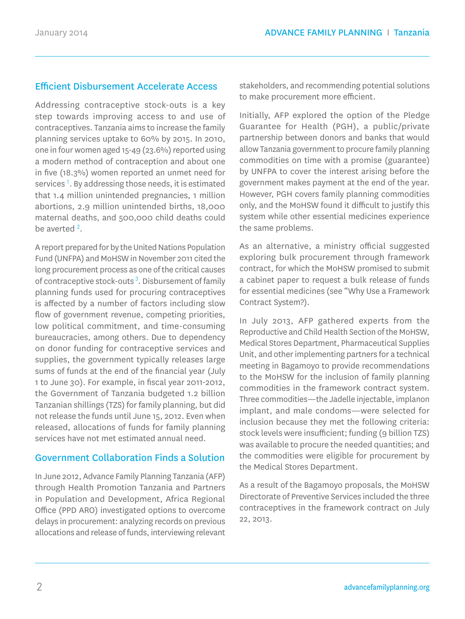# Efficient Disbursement Accelerate Access

Addressing contraceptive stock-outs is a key step towards improving access to and use of contraceptives. Tanzania aims to increase the family planning services uptake to 60% by 2015. In 2010, one in four women aged 15-49 (23.6%) reported using a modern method of contraception and about one in five (18.3%) women reported an unmet need for services<sup>1</sup>. By addressing those needs, it is estimated that 1.4 million unintended pregnancies, 1 million abortions, 2.9 million unintended births, 18,000 maternal deaths, and 500,000 child deaths could be averted  $2$ .

A report prepared for by the United Nations Population Fund (UNFPA) and MoHSW in November 2011 cited the long procurement process as one of the critical causes of contraceptive stock-outs<sup>3</sup>. Disbursement of family planning funds used for procuring contraceptives is affected by a number of factors including slow flow of government revenue, competing priorities, low political commitment, and time-consuming bureaucracies, among others. Due to dependency on donor funding for contraceptive services and supplies, the government typically releases large sums of funds at the end of the financial year (July 1 to June 30). For example, in fiscal year 2011-2012, the Government of Tanzania budgeted 1.2 billion Tanzanian shillings (TZS) for family planning, but did not release the funds until June 15, 2012. Even when released, allocations of funds for family planning services have not met estimated annual need.

# Government Collaboration Finds a Solution

In June 2012, Advance Family Planning Tanzania (AFP) through Health Promotion Tanzania and Partners in Population and Development, Africa Regional Office (PPD ARO) investigated options to overcome delays in procurement: analyzing records on previous allocations and release of funds, interviewing relevant

stakeholders, and recommending potential solutions to make procurement more efficient.

Initially, AFP explored the option of the Pledge Guarantee for Health (PGH), a public/private partnership between donors and banks that would allow Tanzania government to procure family planning commodities on time with a promise (guarantee) by UNFPA to cover the interest arising before the government makes payment at the end of the year. However, PGH covers family planning commodities only, and the MoHSW found it difficult to justify this system while other essential medicines experience the same problems.

As an alternative, a ministry official suggested exploring bulk procurement through framework contract, for which the MoHSW promised to submit a cabinet paper to request a bulk release of funds for essential medicines (see "Why Use a Framework Contract System?).

In July 2013, AFP gathered experts from the Reproductive and Child Health Section of the MoHSW, Medical Stores Department, Pharmaceutical Supplies Unit, and other implementing partners for a technical meeting in Bagamoyo to provide recommendations to the MoHSW for the inclusion of family planning commodities in the framework contract system. Three commodities—the Jadelle injectable, implanon implant, and male condoms—were selected for inclusion because they met the following criteria: stock levels were insufficient; funding (9 billion TZS) was available to procure the needed quantities; and the commodities were eligible for procurement by the Medical Stores Department.

As a result of the Bagamoyo proposals, the MoHSW Directorate of Preventive Services included the three contraceptives in the framework contract on July 22, 2013.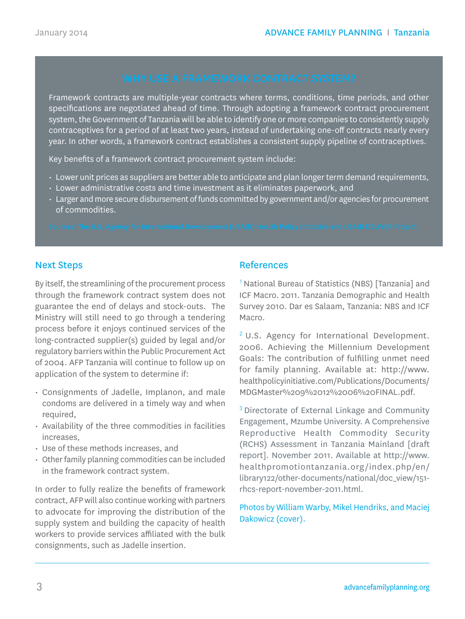Framework contracts are multiple-year contracts where terms, conditions, time periods, and other specifications are negotiated ahead of time. Through adopting a framework contract procurement system, the Government of Tanzania will be able to identify one or more companies to consistently supply contraceptives for a period of at least two years, instead of undertaking one-off contracts nearly every year. In other words, a framework contract establishes a consistent supply pipeline of contraceptives.

Key benefits of a framework contract procurement system include:

- Lower unit prices as suppliers are better able to anticipate and plan longer term demand requirements,
- Lower administrative costs and time investment as it eliminates paperwork, and
- Larger and more secure disbursement of funds committed by government and/or agencies for procurement of commodities.

### Next Steps

By itself, the streamlining of the procurement process through the framework contract system does not guarantee the end of delays and stock-outs. The Ministry will still need to go through a tendering process before it enjoys continued services of the long-contracted supplier(s) guided by legal and/or regulatory barriers within the Public Procurement Act of 2004. AFP Tanzania will continue to follow up on application of the system to determine if:

- Consignments of Jadelle, Implanon, and male condoms are delivered in a timely way and when required,
- Availability of the three commodities in facilities increases,
- Use of these methods increases, and
- Other family planning commodities can be included in the framework contract system.

In order to fully realize the benefits of framework contract, AFP will also continue working with partners to advocate for improving the distribution of the supply system and building the capacity of health workers to provide services affiliated with the bulk consignments, such as Jadelle insertion.

### References

<sup>1</sup> National Bureau of Statistics (NBS) [Tanzania] and ICF Macro. 2011. Tanzania Demographic and Health Survey 2010. Dar es Salaam, Tanzania: NBS and ICF Macro.

<sup>2</sup> U.S. Agency for International Development. 2006. Achieving the Millennium Development Goals: The contribution of fulfilling unmet need for family planning. Available at: http://www. healthpolicyinitiative.com/Publications/Documents/ MDGMaster%209%2012%2006%20FINAL.pdf.

<sup>3</sup> Directorate of External Linkage and Community Engagement, Mzumbe University. A Comprehensive Reproductive Health Commodity Security (RCHS) Assessment in Tanzania Mainland [draft report]. November 2011. Available at http://www. healthpromotiontanzania.org/index.php/en/ library122/other-documents/national/doc\_view/151 rhcs-report-november-2011.html.

Photos by William Warby, Mikel Hendriks, and Maciej Dakowicz (cover).